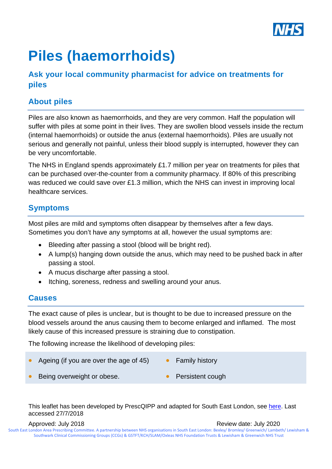

# **Piles (haemorrhoids)**

### **Ask your local community pharmacist for advice on treatments for piles**

## **About piles**

Piles are also known as haemorrhoids, and they are very common. Half the population will suffer with piles at some point in their lives. They are swollen blood vessels inside the rectum (internal haemorrhoids) or outside the anus (external haemorrhoids). Piles are usually not serious and generally not painful, unless their blood supply is interrupted, however they can be very uncomfortable.

The NHS in England spends approximately £1.7 million per year on treatments for piles that can be purchased over-the-counter from a community pharmacy. If 80% of this prescribing was reduced we could save over £1.3 million, which the NHS can invest in improving local healthcare services.

### **Symptoms**

Most piles are mild and symptoms often disappear by themselves after a few days. Sometimes you don't have any symptoms at all, however the usual symptoms are:

- Bleeding after passing a stool (blood will be bright red).
- A lump(s) hanging down outside the anus, which may need to be pushed back in after passing a stool.
- A mucus discharge after passing a stool.
- Itching, soreness, redness and swelling around your anus.

### **Causes**

The exact cause of piles is unclear, but is thought to be due to increased pressure on the blood vessels around the anus causing them to become enlarged and inflamed. The most likely cause of this increased pressure is straining due to constipation.

The following increase the likelihood of developing piles:

- Ageing (if you are over the age of 45) Family history
- Being overweight or obese. • Persistent cough

This leaflet has been developed by PrescQIPP and adapted for South East London, see [here.](https://www.prescqipp.info/component/jdownloads/send/148-self-care-haemorrhoid-treatments/1775-b91-piles-pil) Last accessed 27/7/2018

Approved: July 2018 **Approved: July 2020** South East London Area Prescribing Committee. A partnership between NHS organisations in South East London: Bexley/ Bromley/ Greenwich/ Lambeth/ Lewisham & Southwark Clinical Commissioning Groups (CCGs) & GSTFT/KCH/SLAM/Oxleas NHS Foundation Trusts & Lewisham & Greenwich NHS Trust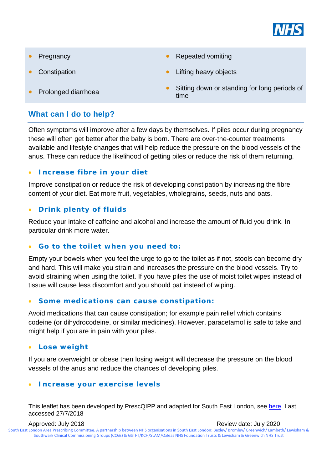

- 
- 
- 

### **What can I do to help?**

Often symptoms will improve after a few days by themselves. If piles occur during pregnancy these will often get better after the baby is born. There are over-the-counter treatments available and lifestyle changes that will help reduce the pressure on the blood vessels of the anus. These can reduce the likelihood of getting piles or reduce the risk of them returning.

#### • **Increase fibre in your diet**

Improve constipation or reduce the risk of developing constipation by increasing the fibre content of your diet. Eat more fruit, vegetables, wholegrains, seeds, nuts and oats.

#### • **Drink plenty of fluids**

Reduce your intake of caffeine and alcohol and increase the amount of fluid you drink. In particular drink more water.

#### • **Go to the toilet when you need to:**

Empty your bowels when you feel the urge to go to the toilet as if not, stools can become dry and hard. This will make you strain and increases the pressure on the blood vessels. Try to avoid straining when using the toilet. If you have piles the use of moist toilet wipes instead of tissue will cause less discomfort and you should pat instead of wiping.

#### • **Some medications can cause constipation:**

Avoid medications that can cause constipation; for example pain relief which contains codeine (or dihydrocodeine, or similar medicines). However, paracetamol is safe to take and might help if you are in pain with your piles.

#### • **Lose weight**

If you are overweight or obese then losing weight will decrease the pressure on the blood vessels of the anus and reduce the chances of developing piles.

#### • **Increase your exercise levels**

This leaflet has been developed by PrescQIPP and adapted for South East London, see [here.](https://www.prescqipp.info/component/jdownloads/send/148-self-care-haemorrhoid-treatments/1775-b91-piles-pil) Last accessed 27/7/2018

- **Pregnancy Repeated vomiting**
- **Constipation Constitution Lifting heavy objects**
- **•** Sitting down or standing for long periods of Prolonged diarrhoea **•** Sitting down or standing for long periods of time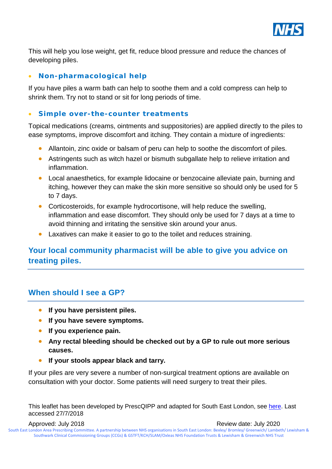

This will help you lose weight, get fit, reduce blood pressure and reduce the chances of developing piles.

### • **Non-pharmacological help**

If you have piles a warm bath can help to soothe them and a cold compress can help to shrink them. Try not to stand or sit for long periods of time.

### • **Simple over-the-counter treatments**

Topical medications (creams, ointments and suppositories) are applied directly to the piles to ease symptoms, improve discomfort and itching. They contain a mixture of ingredients:

- Allantoin, zinc oxide or balsam of peru can help to soothe the discomfort of piles.
- Astringents such as witch hazel or bismuth subgallate help to relieve irritation and inflammation.
- Local anaesthetics, for example lidocaine or benzocaine alleviate pain, burning and itching, however they can make the skin more sensitive so should only be used for 5 to 7 days.
- Corticosteroids, for example hydrocortisone, will help reduce the swelling, inflammation and ease discomfort. They should only be used for 7 days at a time to avoid thinning and irritating the sensitive skin around your anus.
- Laxatives can make it easier to go to the toilet and reduces straining.

### **Your local community pharmacist will be able to give you advice on treating piles.**

### **When should I see a GP?**

- **If you have persistent piles.**
- **If you have severe symptoms.**
- **If you experience pain.**
- **Any rectal bleeding should be checked out by a GP to rule out more serious causes.**
- **If your stools appear black and tarry.**

If your piles are very severe a number of non-surgical treatment options are available on consultation with your doctor. Some patients will need surgery to treat their piles.

This leaflet has been developed by PrescQIPP and adapted for South East London, see [here.](https://www.prescqipp.info/component/jdownloads/send/148-self-care-haemorrhoid-treatments/1775-b91-piles-pil) Last accessed 27/7/2018